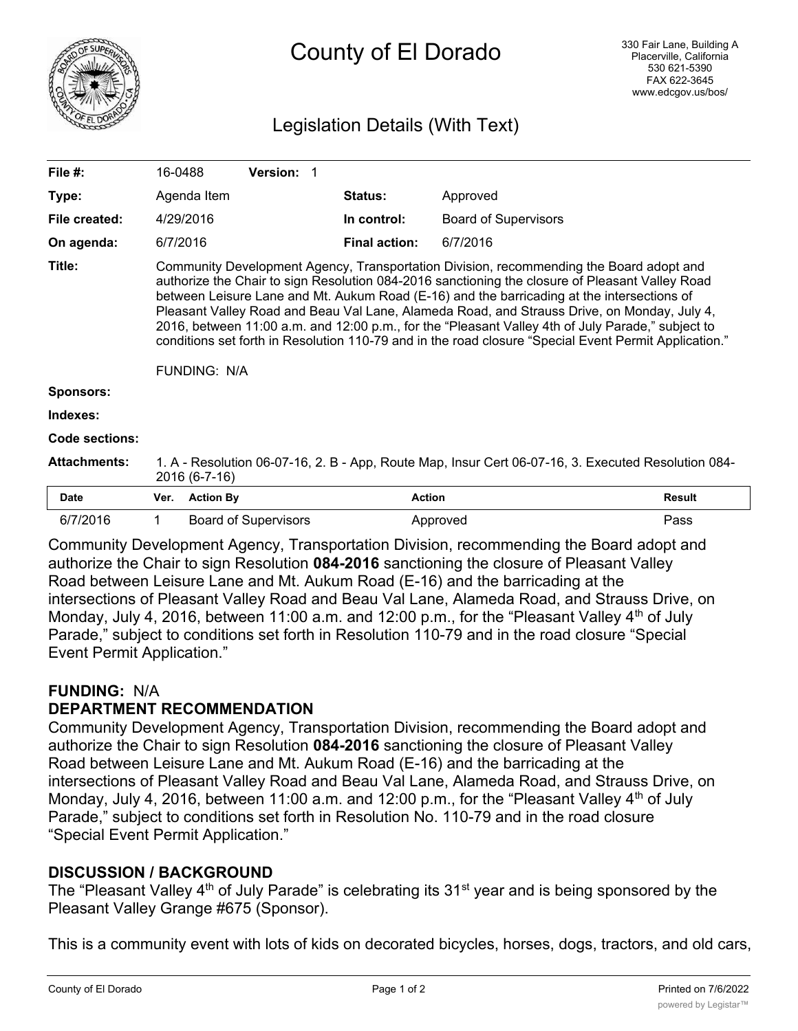

# County of El Dorado

## Legislation Details (With Text)

| File #:                                                                                 | 16-0488                                                                                                                                                                                                                                                                                                                                                                                                                                                                                                                                                                                                                      |                  | Version: 1                  |  |                      |                             |               |
|-----------------------------------------------------------------------------------------|------------------------------------------------------------------------------------------------------------------------------------------------------------------------------------------------------------------------------------------------------------------------------------------------------------------------------------------------------------------------------------------------------------------------------------------------------------------------------------------------------------------------------------------------------------------------------------------------------------------------------|------------------|-----------------------------|--|----------------------|-----------------------------|---------------|
| Type:                                                                                   |                                                                                                                                                                                                                                                                                                                                                                                                                                                                                                                                                                                                                              | Agenda Item      |                             |  | Status:              | Approved                    |               |
| File created:                                                                           |                                                                                                                                                                                                                                                                                                                                                                                                                                                                                                                                                                                                                              | 4/29/2016        |                             |  | In control:          | <b>Board of Supervisors</b> |               |
| On agenda:                                                                              | 6/7/2016                                                                                                                                                                                                                                                                                                                                                                                                                                                                                                                                                                                                                     |                  |                             |  | <b>Final action:</b> | 6/7/2016                    |               |
| Title:                                                                                  | Community Development Agency, Transportation Division, recommending the Board adopt and<br>authorize the Chair to sign Resolution 084-2016 sanctioning the closure of Pleasant Valley Road<br>between Leisure Lane and Mt. Aukum Road (E-16) and the barricading at the intersections of<br>Pleasant Valley Road and Beau Val Lane, Alameda Road, and Strauss Drive, on Monday, July 4,<br>2016, between 11:00 a.m. and 12:00 p.m., for the "Pleasant Valley 4th of July Parade," subject to<br>conditions set forth in Resolution 110-79 and in the road closure "Special Event Permit Application."<br><b>FUNDING: N/A</b> |                  |                             |  |                      |                             |               |
| <b>Sponsors:</b>                                                                        |                                                                                                                                                                                                                                                                                                                                                                                                                                                                                                                                                                                                                              |                  |                             |  |                      |                             |               |
| Indexes:                                                                                |                                                                                                                                                                                                                                                                                                                                                                                                                                                                                                                                                                                                                              |                  |                             |  |                      |                             |               |
| Code sections:                                                                          |                                                                                                                                                                                                                                                                                                                                                                                                                                                                                                                                                                                                                              |                  |                             |  |                      |                             |               |
| <b>Attachments:</b>                                                                     | 1. A - Resolution 06-07-16, 2. B - App, Route Map, Insur Cert 06-07-16, 3. Executed Resolution 084-<br>2016 (6-7-16)                                                                                                                                                                                                                                                                                                                                                                                                                                                                                                         |                  |                             |  |                      |                             |               |
| <b>Date</b>                                                                             | Ver.                                                                                                                                                                                                                                                                                                                                                                                                                                                                                                                                                                                                                         | <b>Action By</b> |                             |  | <b>Action</b>        |                             | <b>Result</b> |
| 6/7/2016                                                                                | $\mathbf{1}$                                                                                                                                                                                                                                                                                                                                                                                                                                                                                                                                                                                                                 |                  | <b>Board of Supervisors</b> |  |                      | Approved                    | Pass          |
| Community Development Agency, Transportation Division, recommending the Board adopt and |                                                                                                                                                                                                                                                                                                                                                                                                                                                                                                                                                                                                                              |                  |                             |  |                      |                             |               |

authorize the Chair to sign Resolution **084-2016** sanctioning the closure of Pleasant Valley Road between Leisure Lane and Mt. Aukum Road (E-16) and the barricading at the intersections of Pleasant Valley Road and Beau Val Lane, Alameda Road, and Strauss Drive, on Monday, July 4, 2016, between 11:00 a.m. and 12:00 p.m., for the "Pleasant Valley  $4<sup>th</sup>$  of July Parade," subject to conditions set forth in Resolution 110-79 and in the road closure "Special Event Permit Application."

## **FUNDING:** N/A

## **DEPARTMENT RECOMMENDATION**

Community Development Agency, Transportation Division, recommending the Board adopt and authorize the Chair to sign Resolution **084-2016** sanctioning the closure of Pleasant Valley Road between Leisure Lane and Mt. Aukum Road (E-16) and the barricading at the intersections of Pleasant Valley Road and Beau Val Lane, Alameda Road, and Strauss Drive, on Monday, July 4, 2016, between 11:00 a.m. and 12:00 p.m., for the "Pleasant Valley  $4<sup>th</sup>$  of July Parade," subject to conditions set forth in Resolution No. 110-79 and in the road closure "Special Event Permit Application."

## **DISCUSSION / BACKGROUND**

The "Pleasant Valley  $4<sup>th</sup>$  of July Parade" is celebrating its  $31<sup>st</sup>$  year and is being sponsored by the Pleasant Valley Grange #675 (Sponsor).

This is a community event with lots of kids on decorated bicycles, horses, dogs, tractors, and old cars,